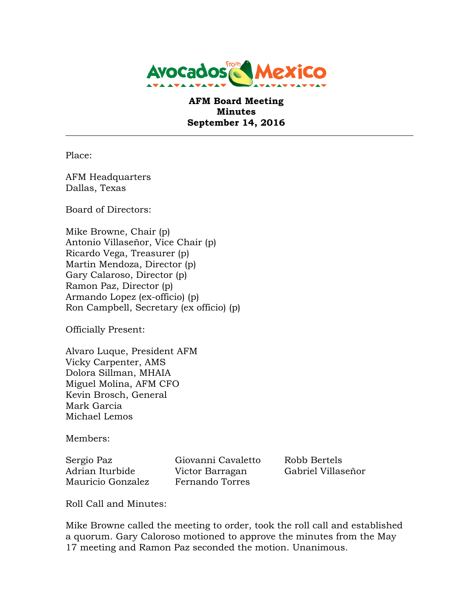

 **AFM Board Meeting Minutes September 14, 2016** 

Place:

 Dallas, Texas AFM Headquarters

Board of Directors:

 Mike Browne, Chair (p) Antonio Villaseñor, Vice Chair (p) Ricardo Vega, Treasurer (p) Martin Mendoza, Director (p) Gary Calaroso, Director (p) Ramon Paz, Director (p) Armando Lopez (ex-officio) (p) Ron Campbell, Secretary (ex officio) (p)

Officially Present:

 Alvaro Luque, President AFM Vicky Carpenter, AMS Kevin Brosch, General Mark Garcia Michael Lemos Dolora Sillman, MHAIA Miguel Molina, AFM CFO

Members:

Sergio Paz Adrian Iturbide Mauricio Gonzalez Fernando Torres

Giovanni Cavaletto Robb Bertels Victor Barragan Gabriel Villaseñor

Roll Call and Minutes:

 Mike Browne called the meeting to order, took the roll call and established a quorum. Gary Caloroso motioned to approve the minutes from the May 17 meeting and Ramon Paz seconded the motion. Unanimous.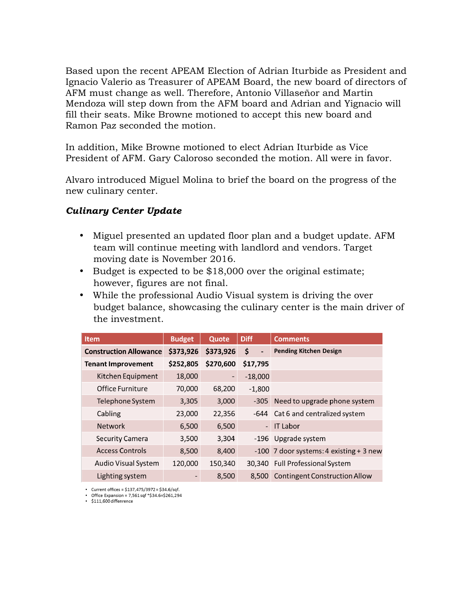Based upon the recent APEAM Election of Adrian Iturbide as President and Ignacio Valerio as Treasurer of APEAM Board, the new board of directors of AFM must change as well. Therefore, Antonio Villaseñor and Martin Mendoza will step down from the AFM board and Adrian and Yignacio will fill their seats. Mike Browne motioned to accept this new board and Ramon Paz seconded the motion.

 In addition, Mike Browne motioned to elect Adrian Iturbide as Vice President of AFM. Gary Caloroso seconded the motion. All were in favor.

 Alvaro introduced Miguel Molina to brief the board on the progress of the new culinary center.

## *Culinary Center Update*

- • Miguel presented an updated floor plan and a budget update. AFM team will continue meeting with landlord and vendors. Target moving date is November 2016.
- • Budget is expected to be \$18,000 over the original estimate; however, figures are not final.
- • While the professional Audio Visual system is driving the over budget balance, showcasing the culinary center is the main driver of the investment.

| <b>Item</b>                   | <b>Budget</b> | Quote                    | <b>Diff</b>                    | <b>Comments</b>                         |
|-------------------------------|---------------|--------------------------|--------------------------------|-----------------------------------------|
| <b>Construction Allowance</b> | \$373,926     | \$373,926                | \$<br>$\overline{\phantom{a}}$ | <b>Pending Kitchen Design</b>           |
| <b>Tenant Improvement</b>     | \$252,805     | \$270,600                | \$17,795                       |                                         |
| Kitchen Equipment             | 18,000        | $\overline{\phantom{a}}$ | $-18,000$                      |                                         |
| Office Furniture              | 70,000        | 68,200                   | $-1,800$                       |                                         |
| Telephone System              | 3,305         | 3,000                    | $-305$                         | Need to upgrade phone system            |
| Cabling                       | 23,000        | 22,356                   |                                | -644 Cat 6 and centralized system       |
| <b>Network</b>                | 6,500         | 6,500                    | $\overline{\phantom{0}}$       | <b>IT Labor</b>                         |
| <b>Security Camera</b>        | 3,500         | 3,304                    |                                | -196 Upgrade system                     |
| Access Controls               | 8,500         | 8,400                    |                                | -100 7 door systems: 4 existing + 3 new |
| Audio Visual System           | 120,000       | 150,340                  |                                | 30,340 Full Professional System         |
| Lighting system               | -             | 8,500                    | 8.500                          | <b>Contingent Construction Allow</b>    |

• Current offices = \$137,475/3972 = \$34.6/sqf.

• Office Expansion = 7,561 sqf \*\$34.6=\$261,294  $\frac{5}{111,600}$  diffenrence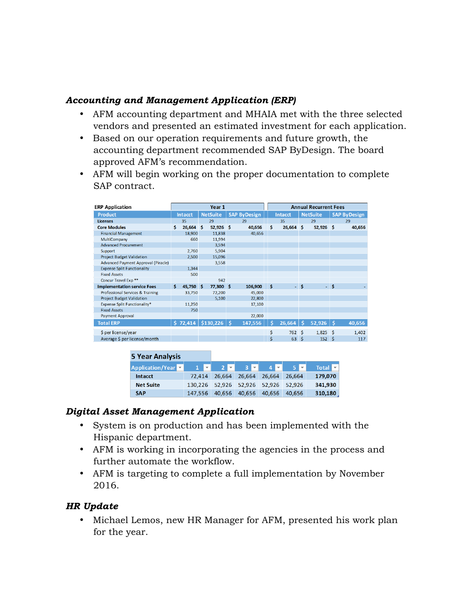## *Accounting and Management Application (ERP)*

- • AFM accounting department and MHAIA met with the three selected vendors and presented an estimated investment for each application.
- • Based on our operation requirements and future growth, the accounting department recommended SAP ByDesign. The board approved AFM's recommendation.
- • AFM will begin working on the proper documentation to complete SAP contract.

| <b>ERP Application</b>                     | Year 1 |                |    |                 | <b>Annual Recurrent Fees</b> |                     |    |                |      |                 |      |                     |
|--------------------------------------------|--------|----------------|----|-----------------|------------------------------|---------------------|----|----------------|------|-----------------|------|---------------------|
| Product                                    |        | <b>Intacct</b> |    | <b>NetSuite</b> |                              | <b>SAP ByDesign</b> |    | <b>Intacct</b> |      | <b>NetSuite</b> |      | <b>SAP ByDesign</b> |
| <b>Licenses</b>                            |        | 35             |    | 29              |                              | 29                  |    | 35             |      | 29              |      | 29                  |
| <b>Core Modules</b>                        | Ś.     | 26,664         | Ŝ. | $52,926$ \$     |                              | 40,656              | Ś  | $26,664$ \$    |      | $52,926$ \$     |      | 40,656              |
| <b>Financial Management</b>                |        | 18,900         |    | 11,838          |                              | 40,656              |    |                |      |                 |      |                     |
| MultiCompany                               |        | 660            |    | 11,994          |                              |                     |    |                |      |                 |      |                     |
| <b>Advanced Procurement</b>                |        |                |    | 3,594           |                              |                     |    |                |      |                 |      |                     |
| Support                                    |        | 2,760          |    | 5,904           |                              |                     |    |                |      |                 |      |                     |
| <b>Project Budget Validation</b>           |        | 2,500          |    | 15,096          |                              |                     |    |                |      |                 |      |                     |
| <b>Advanced Payment Approval (Piracle)</b> |        |                |    | 3,558           |                              |                     |    |                |      |                 |      |                     |
| <b>Expense Split Functionality</b>         |        | 1,344          |    |                 |                              |                     |    |                |      |                 |      |                     |
| <b>Fixed Assets</b>                        |        | 500            |    |                 |                              |                     |    |                |      |                 |      |                     |
| Concur Travel Exp **                       |        |                |    | 942             |                              |                     |    |                |      |                 |      |                     |
| <b>Implementation service Fees</b>         | Ś.     | 45,750 \$      |    | 77,300 \$       |                              | 106,900             | \$ |                | - \$ |                 | - \$ |                     |
| Professional Services & Training           |        | 33,750         |    | 72,200          |                              | 45,000              |    |                |      |                 |      |                     |
| <b>Project Budget Validation</b>           |        |                |    | 5,100           |                              | 22,800              |    |                |      |                 |      |                     |
| Expense Split Functionality*               |        | 11,250         |    |                 |                              | 17,100              |    |                |      |                 |      |                     |
| <b>Fixed Assets</b>                        |        | 750            |    |                 |                              |                     |    |                |      |                 |      |                     |
| <b>Payment Approval</b>                    |        |                |    |                 |                              | 22,000              |    |                |      |                 |      |                     |
| <b>Total ERP</b>                           |        | \$72,414       |    | \$130,226       | Ŝ.                           | 147,556             | Ś  | 26,664         | -Ś   | 52,926          | -Ś   | 40,656              |
| \$ per license/year                        |        |                |    |                 |                              |                     | \$ | 762 \$         |      | 1,825           | Ŝ    | 1,402               |
| Average \$ per license/month               |        |                |    |                 |                              |                     | \$ | 63             | Ŝ    | 152             | Ŝ    | 117                 |

| <b>5 Year Analysis</b>                 |         |        |        |                      |        |                                |
|----------------------------------------|---------|--------|--------|----------------------|--------|--------------------------------|
| Application/Year v 1 v 2 v 3 v 4 v 5 v |         |        |        |                      |        | Total $\overline{\phantom{a}}$ |
| Intacct                                | 72.414  | 26.664 | 26.664 | 26.664               | 26.664 | 179,070                        |
| <b>Net Suite</b>                       | 130,226 |        |        | 52,926 52,926 52,926 | 52.926 | 341,930                        |
| <b>SAP</b>                             | 147.556 | 40.656 | 40.656 | 40.656               | 40.656 | 310,180                        |

## *Digital Asset Management Application*

- • System is on production and has been implemented with the Hispanic department.
- AFM is working in incorporating the agencies in the process and further automate the workflow.
- • AFM is targeting to complete a full implementation by November 2016.

## *HR Update*

 • Michael Lemos, new HR Manager for AFM, presented his work plan for the year.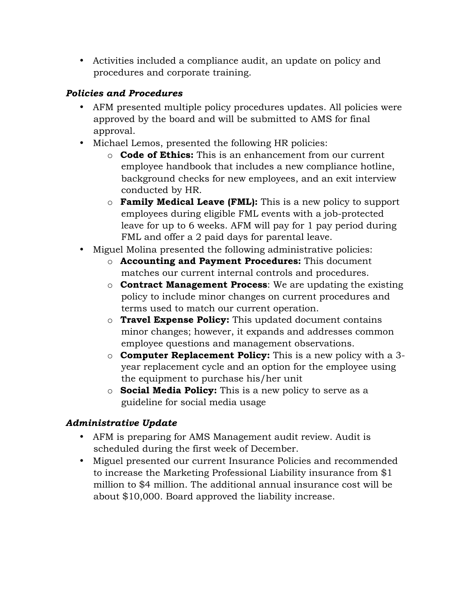• Activities included a compliance audit, an update on policy and procedures and corporate training.

# *Policies and Procedures*

- • AFM presented multiple policy procedures updates. All policies were approved by the board and will be submitted to AMS for final approval.
- • Michael Lemos, presented the following HR policies:
	- o **Code of Ethics:** This is an enhancement from our current employee handbook that includes a new compliance hotline, background checks for new employees, and an exit interview conducted by HR.
	- o **Family Medical Leave (FML):** This is a new policy to support employees during eligible FML events with a job-protected leave for up to 6 weeks. AFM will pay for 1 pay period during FML and offer a 2 paid days for parental leave.
- • Miguel Molina presented the following administrative policies:
	- o **Accounting and Payment Procedures:** This document matches our current internal controls and procedures.
	- policy to include minor changes on current procedures and terms used to match our current operation. o **Contract Management Process**: We are updating the existing
	- o **Travel Expense Policy:** This updated document contains minor changes; however, it expands and addresses common employee questions and management observations.
	- o **Computer Replacement Policy:** This is a new policy with a 3- year replacement cycle and an option for the employee using the equipment to purchase his/her unit
	- o **Social Media Policy:** This is a new policy to serve as a guideline for social media usage

# *Administrative Update*

- • AFM is preparing for AMS Management audit review. Audit is scheduled during the first week of December.
- • Miguel presented our current Insurance Policies and recommended to increase the Marketing Professional Liability insurance from \$1 million to \$4 million. The additional annual insurance cost will be about \$10,000. Board approved the liability increase.